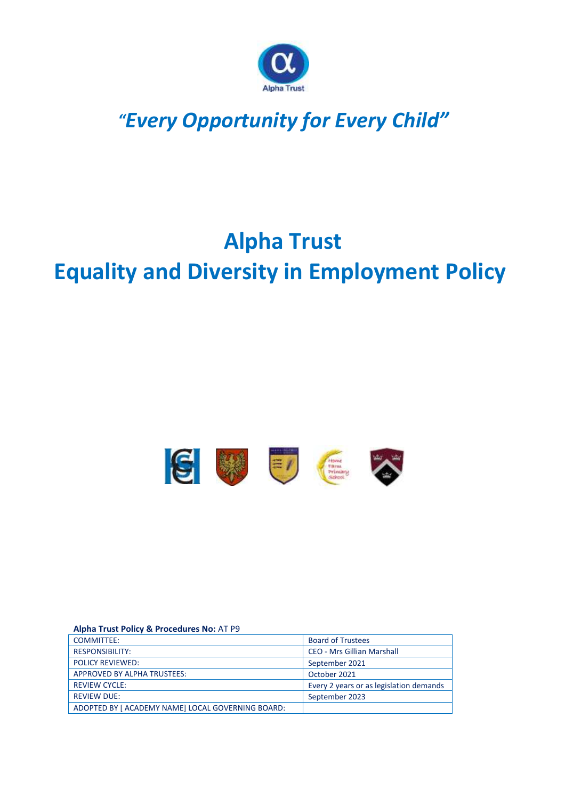

## *"Every Opportunity for Every Child"*

# **Alpha Trust Equality and Diversity in Employment Policy**



#### **Alpha Trust Policy & Procedures No:** AT P9

| <b>COMMITTEE:</b>                                 | <b>Board of Trustees</b>                |
|---------------------------------------------------|-----------------------------------------|
| <b>RESPONSIBILITY:</b>                            | <b>CEO - Mrs Gillian Marshall</b>       |
| <b>POLICY REVIEWED:</b>                           | September 2021                          |
| <b>APPROVED BY ALPHA TRUSTEES:</b>                | October 2021                            |
| <b>REVIEW CYCLE:</b>                              | Every 2 years or as legislation demands |
| <b>REVIEW DUE:</b>                                | September 2023                          |
| ADOPTED BY [ ACADEMY NAME] LOCAL GOVERNING BOARD: |                                         |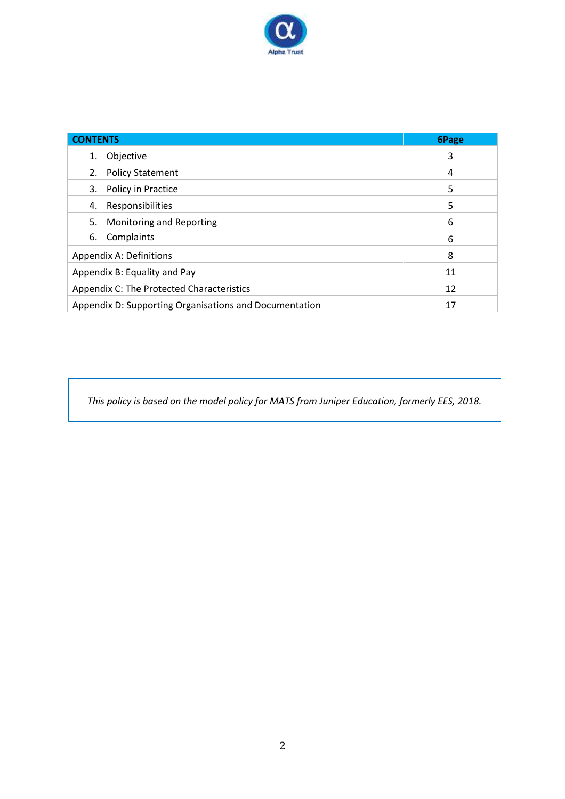

| <b>CONTENTS</b>                                        | 6Page |
|--------------------------------------------------------|-------|
| Objective<br>1.                                        | 3     |
| 2. Policy Statement                                    | 4     |
| 3. Policy in Practice                                  | 5     |
| Responsibilities<br>4.                                 | 5     |
| Monitoring and Reporting<br>5.                         | 6     |
| Complaints<br>6.                                       | 6     |
| Appendix A: Definitions                                | 8     |
| Appendix B: Equality and Pay                           | 11    |
| Appendix C: The Protected Characteristics              | 12    |
| Appendix D: Supporting Organisations and Documentation | 17    |

*This policy is based on the model policy for MATS from Juniper Education, formerly EES, 2018.*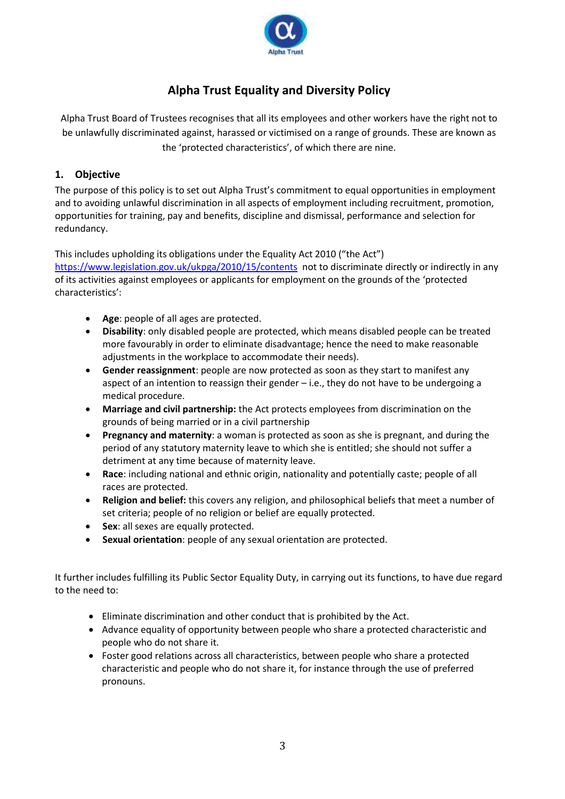

## **Alpha Trust Equality and Diversity Policy**

Alpha Trust Board of Trustees recognises that all its employees and other workers have the right not to be unlawfully discriminated against, harassed or victimised on a range of grounds. These are known as the 'protected characteristics', of which there are nine.

## **1. Objective**

The purpose of this policy is to set out Alpha Trust's commitment to equal opportunities in employment and to avoiding unlawful discrimination in all aspects of employment including recruitment, promotion, opportunities for training, pay and benefits, discipline and dismissal, performance and selection for redundancy.

This includes upholding its obligations under the Equality Act 2010 ("the Act") <https://www.legislation.gov.uk/ukpga/2010/15/contents> not to discriminate directly or indirectly in any of its activities against employees or applicants for employment on the grounds of the 'protected characteristics':

- **Age**: people of all ages are protected.
- **Disability**: only disabled people are protected, which means disabled people can be treated more favourably in order to eliminate disadvantage; hence the need to make reasonable adjustments in the workplace to accommodate their needs).
- **Gender reassignment**: people are now protected as soon as they start to manifest any aspect of an intention to reassign their gender – i.e., they do not have to be undergoing a medical procedure.
- **Marriage and civil partnership:** the Act protects employees from discrimination on the grounds of being married or in a civil partnership
- **Pregnancy and maternity**: a woman is protected as soon as she is pregnant, and during the period of any statutory maternity leave to which she is entitled; she should not suffer a detriment at any time because of maternity leave.
- **Race**: including national and ethnic origin, nationality and potentially caste; people of all races are protected.
- **Religion and belief:** this covers any religion, and philosophical beliefs that meet a number of set criteria; people of no religion or belief are equally protected.
- **Sex**: all sexes are equally protected.
- **Sexual orientation**: people of any sexual orientation are protected.

It further includes fulfilling its Public Sector Equality Duty, in carrying out its functions, to have due regard to the need to:

- Eliminate discrimination and other conduct that is prohibited by the Act.
- Advance equality of opportunity between people who share a protected characteristic and people who do not share it.
- Foster good relations across all characteristics, between people who share a protected characteristic and people who do not share it, for instance through the use of preferred pronouns.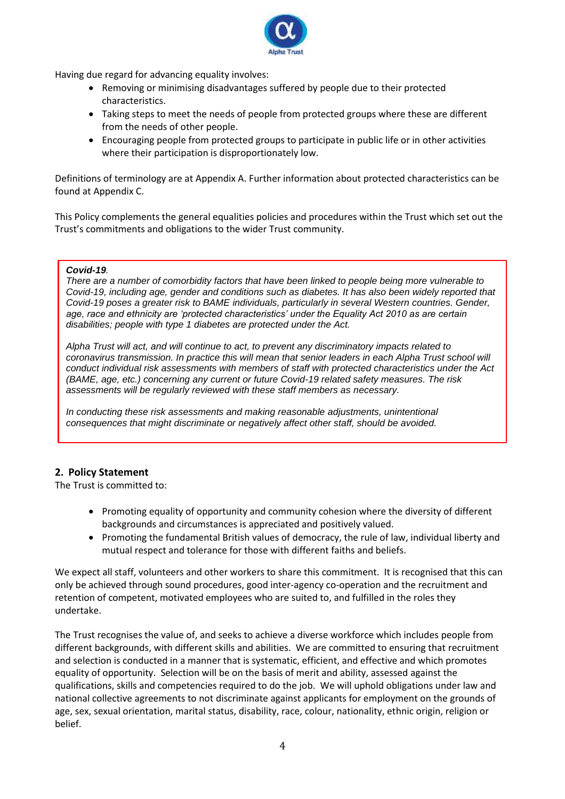

Having due regard for advancing equality involves:

- Removing or minimising disadvantages suffered by people due to their protected characteristics.
- Taking steps to meet the needs of people from protected groups where these are different from the needs of other people.
- Encouraging people from protected groups to participate in public life or in other activities where their participation is disproportionately low.

Definitions of terminology are at Appendix A. Further information about protected characteristics can be found at Appendix C.

This Policy complements the general equalities policies and procedures within the Trust which set out the Trust's commitments and obligations to the wider Trust community.

#### *Covid-19.*

*There are a number of comorbidity factors that have been linked to people being more vulnerable to Covid-19, including age, gender and conditions such as diabetes. It has also been widely reported that Covid-19 poses a greater risk to BAME individuals, particularly in several Western countries. Gender, age, race and ethnicity are 'protected characteristics' under the Equality Act 2010 as are certain disabilities; people with type 1 diabetes are protected under the Act.*

*Alpha Trust will act, and will continue to act, to prevent any discriminatory impacts related to coronavirus transmission. In practice this will mean that senior leaders in each Alpha Trust school will conduct individual risk assessments with members of staff with protected characteristics under the Act (BAME, age, etc.) concerning any current or future Covid-19 related safety measures. The risk assessments will be regularly reviewed with these staff members as necessary.*

*In conducting these risk assessments and making reasonable adjustments, unintentional consequences that might discriminate or negatively affect other staff, should be avoided.*

## **2. Policy Statement**

The Trust is committed to:

- Promoting equality of opportunity and community cohesion where the diversity of different backgrounds and circumstances is appreciated and positively valued.
- Promoting the fundamental British values of democracy, the rule of law, individual liberty and mutual respect and tolerance for those with different faiths and beliefs.

We expect all staff, volunteers and other workers to share this commitment. It is recognised that this can only be achieved through sound procedures, good inter-agency co-operation and the recruitment and retention of competent, motivated employees who are suited to, and fulfilled in the roles they undertake.

The Trust recognises the value of, and seeks to achieve a diverse workforce which includes people from different backgrounds, with different skills and abilities. We are committed to ensuring that recruitment and selection is conducted in a manner that is systematic, efficient, and effective and which promotes equality of opportunity. Selection will be on the basis of merit and ability, assessed against the qualifications, skills and competencies required to do the job. We will uphold obligations under law and national collective agreements to not discriminate against applicants for employment on the grounds of age, sex, sexual orientation, marital status, disability, race, colour, nationality, ethnic origin, religion or belief.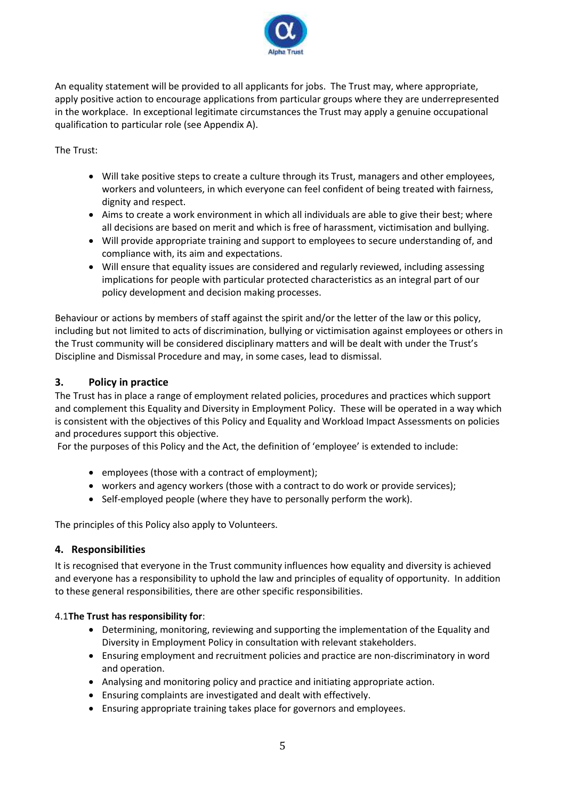

An equality statement will be provided to all applicants for jobs. The Trust may, where appropriate, apply positive action to encourage applications from particular groups where they are underrepresented in the workplace. In exceptional legitimate circumstances the Trust may apply a genuine occupational qualification to particular role (see Appendix A).

The Trust:

- Will take positive steps to create a culture through its Trust, managers and other employees, workers and volunteers, in which everyone can feel confident of being treated with fairness, dignity and respect.
- Aims to create a work environment in which all individuals are able to give their best; where all decisions are based on merit and which is free of harassment, victimisation and bullying.
- Will provide appropriate training and support to employees to secure understanding of, and compliance with, its aim and expectations.
- Will ensure that equality issues are considered and regularly reviewed, including assessing implications for people with particular protected characteristics as an integral part of our policy development and decision making processes.

Behaviour or actions by members of staff against the spirit and/or the letter of the law or this policy, including but not limited to acts of discrimination, bullying or victimisation against employees or others in the Trust community will be considered disciplinary matters and will be dealt with under the Trust's Discipline and Dismissal Procedure and may, in some cases, lead to dismissal.

## **3. Policy in practice**

The Trust has in place a range of employment related policies, procedures and practices which support and complement this Equality and Diversity in Employment Policy. These will be operated in a way which is consistent with the objectives of this Policy and Equality and Workload Impact Assessments on policies and procedures support this objective.

For the purposes of this Policy and the Act, the definition of 'employee' is extended to include:

- employees (those with a contract of employment);
- workers and agency workers (those with a contract to do work or provide services);
- Self-employed people (where they have to personally perform the work).

The principles of this Policy also apply to Volunteers.

#### **4. Responsibilities**

It is recognised that everyone in the Trust community influences how equality and diversity is achieved and everyone has a responsibility to uphold the law and principles of equality of opportunity. In addition to these general responsibilities, there are other specific responsibilities.

#### 4.1**The Trust has responsibility for**:

- Determining, monitoring, reviewing and supporting the implementation of the Equality and Diversity in Employment Policy in consultation with relevant stakeholders.
- Ensuring employment and recruitment policies and practice are non-discriminatory in word and operation.
- Analysing and monitoring policy and practice and initiating appropriate action.
- Ensuring complaints are investigated and dealt with effectively.
- Ensuring appropriate training takes place for governors and employees.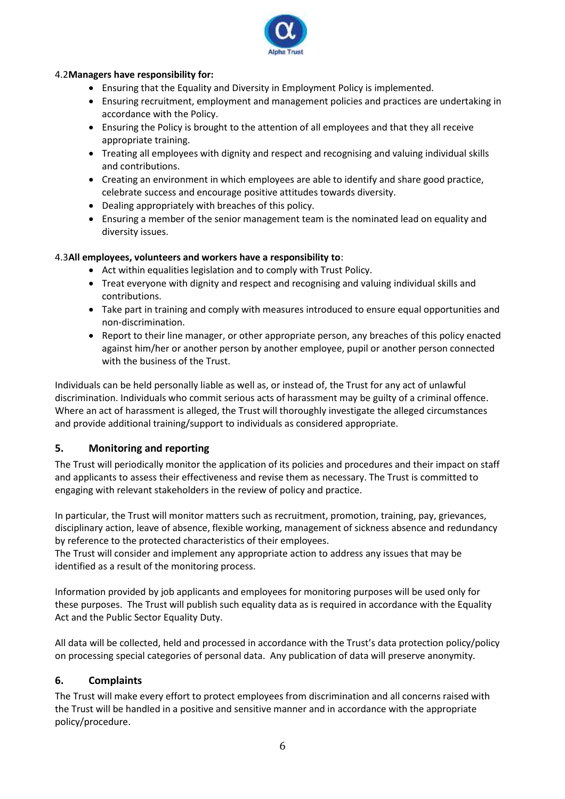

#### 4.2**Managers have responsibility for:**

- Ensuring that the Equality and Diversity in Employment Policy is implemented.
- Ensuring recruitment, employment and management policies and practices are undertaking in accordance with the Policy.
- Ensuring the Policy is brought to the attention of all employees and that they all receive appropriate training.
- Treating all employees with dignity and respect and recognising and valuing individual skills and contributions.
- Creating an environment in which employees are able to identify and share good practice, celebrate success and encourage positive attitudes towards diversity.
- Dealing appropriately with breaches of this policy.
- Ensuring a member of the senior management team is the nominated lead on equality and diversity issues.

#### 4.3**All employees, volunteers and workers have a responsibility to**:

- Act within equalities legislation and to comply with Trust Policy.
- Treat everyone with dignity and respect and recognising and valuing individual skills and contributions.
- Take part in training and comply with measures introduced to ensure equal opportunities and non-discrimination.
- Report to their line manager, or other appropriate person, any breaches of this policy enacted against him/her or another person by another employee, pupil or another person connected with the business of the Trust.

Individuals can be held personally liable as well as, or instead of, the Trust for any act of unlawful discrimination. Individuals who commit serious acts of harassment may be guilty of a criminal offence. Where an act of harassment is alleged, the Trust will thoroughly investigate the alleged circumstances and provide additional training/support to individuals as considered appropriate.

#### **5. Monitoring and reporting**

The Trust will periodically monitor the application of its policies and procedures and their impact on staff and applicants to assess their effectiveness and revise them as necessary. The Trust is committed to engaging with relevant stakeholders in the review of policy and practice.

In particular, the Trust will monitor matters such as recruitment, promotion, training, pay, grievances, disciplinary action, leave of absence, flexible working, management of sickness absence and redundancy by reference to the protected characteristics of their employees.

The Trust will consider and implement any appropriate action to address any issues that may be identified as a result of the monitoring process.

Information provided by job applicants and employees for monitoring purposes will be used only for these purposes. The Trust will publish such equality data as is required in accordance with the Equality Act and the Public Sector Equality Duty.

All data will be collected, held and processed in accordance with the Trust's data protection policy/policy on processing special categories of personal data. Any publication of data will preserve anonymity.

#### **6. Complaints**

The Trust will make every effort to protect employees from discrimination and all concerns raised with the Trust will be handled in a positive and sensitive manner and in accordance with the appropriate policy/procedure.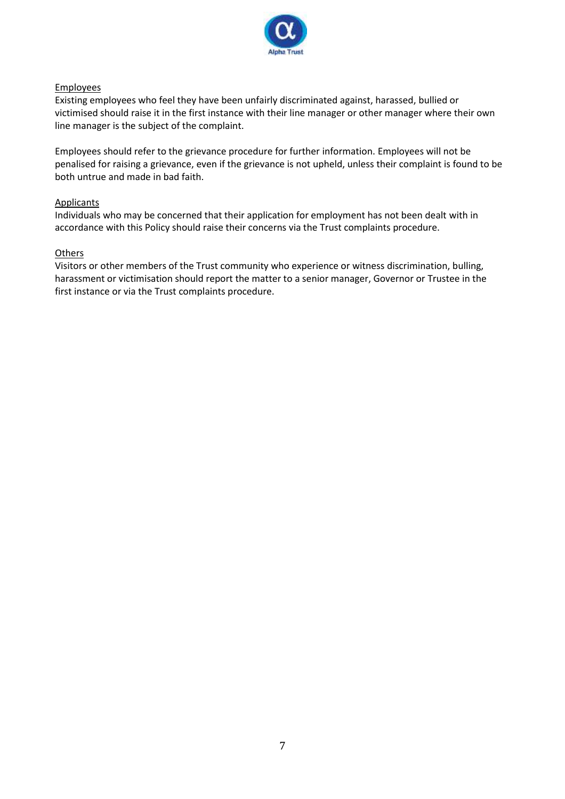

#### **Employees**

Existing employees who feel they have been unfairly discriminated against, harassed, bullied or victimised should raise it in the first instance with their line manager or other manager where their own line manager is the subject of the complaint.

Employees should refer to the grievance procedure for further information. Employees will not be penalised for raising a grievance, even if the grievance is not upheld, unless their complaint is found to be both untrue and made in bad faith.

#### **Applicants**

Individuals who may be concerned that their application for employment has not been dealt with in accordance with this Policy should raise their concerns via the Trust complaints procedure.

#### **Others**

Visitors or other members of the Trust community who experience or witness discrimination, bulling, harassment or victimisation should report the matter to a senior manager, Governor or Trustee in the first instance or via the Trust complaints procedure.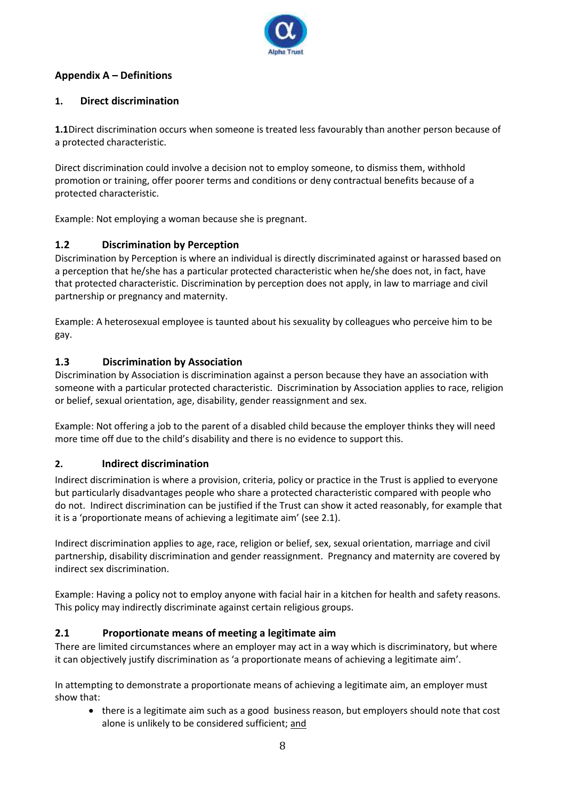

## **Appendix A – Definitions**

## **1. Direct discrimination**

**1.1**Direct discrimination occurs when someone is treated less favourably than another person because of a protected characteristic.

Direct discrimination could involve a decision not to employ someone, to dismiss them, withhold promotion or training, offer poorer terms and conditions or deny contractual benefits because of a protected characteristic.

Example: Not employing a woman because she is pregnant.

## **1.2 Discrimination by Perception**

Discrimination by Perception is where an individual is directly discriminated against or harassed based on a perception that he/she has a particular protected characteristic when he/she does not, in fact, have that protected characteristic. Discrimination by perception does not apply, in law to marriage and civil partnership or pregnancy and maternity.

Example: A heterosexual employee is taunted about his sexuality by colleagues who perceive him to be gay.

## **1.3 Discrimination by Association**

Discrimination by Association is discrimination against a person because they have an association with someone with a particular protected characteristic. Discrimination by Association applies to race, religion or belief, sexual orientation, age, disability, gender reassignment and sex.

Example: Not offering a job to the parent of a disabled child because the employer thinks they will need more time off due to the child's disability and there is no evidence to support this.

## **2. Indirect discrimination**

Indirect discrimination is where a provision, criteria, policy or practice in the Trust is applied to everyone but particularly disadvantages people who share a protected characteristic compared with people who do not. Indirect discrimination can be justified if the Trust can show it acted reasonably, for example that it is a 'proportionate means of achieving a legitimate aim' (see 2.1).

Indirect discrimination applies to age, race, religion or belief, sex, sexual orientation, marriage and civil partnership, disability discrimination and gender reassignment. Pregnancy and maternity are covered by indirect sex discrimination.

Example: Having a policy not to employ anyone with facial hair in a kitchen for health and safety reasons. This policy may indirectly discriminate against certain religious groups.

## **2.1 Proportionate means of meeting a legitimate aim**

There are limited circumstances where an employer may act in a way which is discriminatory, but where it can objectively justify discrimination as 'a proportionate means of achieving a legitimate aim'.

In attempting to demonstrate a proportionate means of achieving a legitimate aim, an employer must show that:

• there is a legitimate aim such as a good business reason, but employers should note that cost alone is unlikely to be considered sufficient; and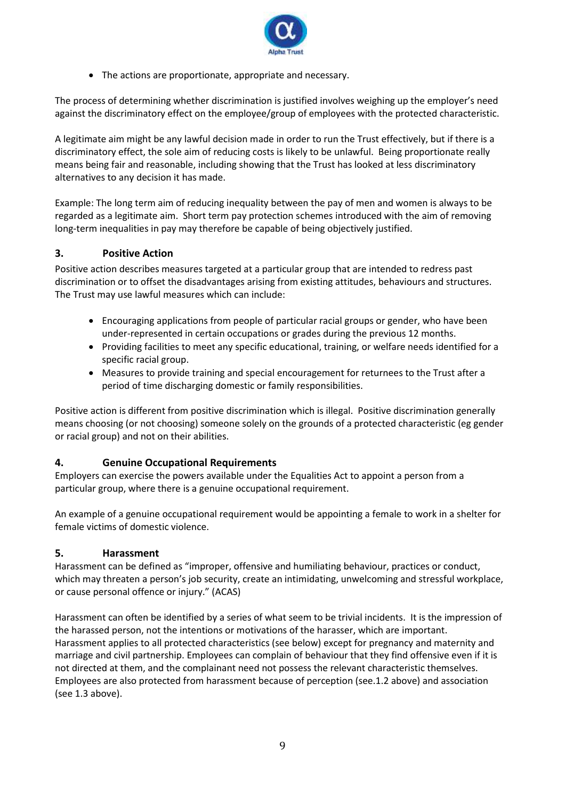

• The actions are proportionate, appropriate and necessary.

The process of determining whether discrimination is justified involves weighing up the employer's need against the discriminatory effect on the employee/group of employees with the protected characteristic.

A legitimate aim might be any lawful decision made in order to run the Trust effectively, but if there is a discriminatory effect, the sole aim of reducing costs is likely to be unlawful. Being proportionate really means being fair and reasonable, including showing that the Trust has looked at less discriminatory alternatives to any decision it has made.

Example: The long term aim of reducing inequality between the pay of men and women is always to be regarded as a legitimate aim. Short term pay protection schemes introduced with the aim of removing long-term inequalities in pay may therefore be capable of being objectively justified.

#### **3. Positive Action**

Positive action describes measures targeted at a particular group that are intended to redress past discrimination or to offset the disadvantages arising from existing attitudes, behaviours and structures. The Trust may use lawful measures which can include:

- Encouraging applications from people of particular racial groups or gender, who have been under-represented in certain occupations or grades during the previous 12 months.
- Providing facilities to meet any specific educational, training, or welfare needs identified for a specific racial group.
- Measures to provide training and special encouragement for returnees to the Trust after a period of time discharging domestic or family responsibilities.

Positive action is different from positive discrimination which is illegal. Positive discrimination generally means choosing (or not choosing) someone solely on the grounds of a protected characteristic (eg gender or racial group) and not on their abilities.

#### **4. Genuine Occupational Requirements**

Employers can exercise the powers available under the Equalities Act to appoint a person from a particular group, where there is a genuine occupational requirement.

An example of a genuine occupational requirement would be appointing a female to work in a shelter for female victims of domestic violence.

#### **5. Harassment**

Harassment can be defined as "improper, offensive and humiliating behaviour, practices or conduct, which may threaten a person's job security, create an intimidating, unwelcoming and stressful workplace, or cause personal offence or injury." (ACAS)

Harassment can often be identified by a series of what seem to be trivial incidents. It is the impression of the harassed person, not the intentions or motivations of the harasser, which are important. Harassment applies to all protected characteristics (see below) except for pregnancy and maternity and marriage and civil partnership. Employees can complain of behaviour that they find offensive even if it is not directed at them, and the complainant need not possess the relevant characteristic themselves. Employees are also protected from harassment because of perception (see.1.2 above) and association (see 1.3 above).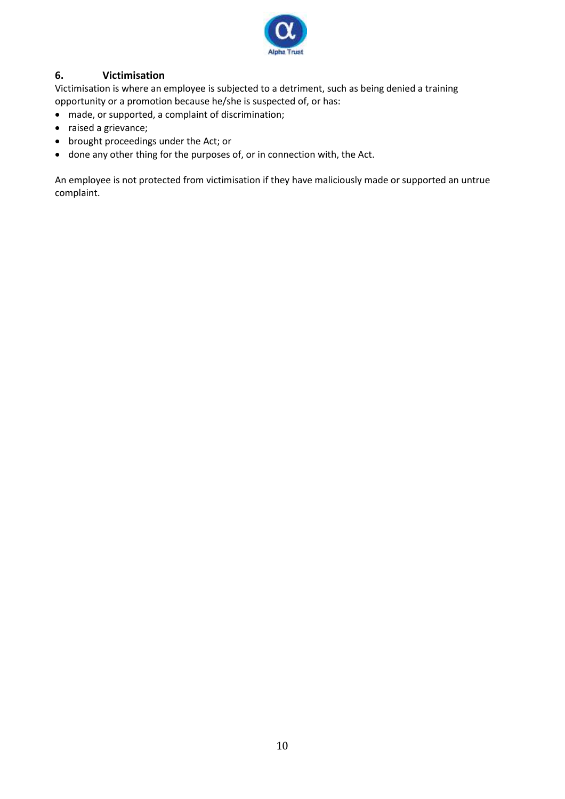

## **6. Victimisation**

Victimisation is where an employee is subjected to a detriment, such as being denied a training opportunity or a promotion because he/she is suspected of, or has:

- made, or supported, a complaint of discrimination;
- raised a grievance;
- brought proceedings under the Act; or
- done any other thing for the purposes of, or in connection with, the Act.

An employee is not protected from victimisation if they have maliciously made or supported an untrue complaint.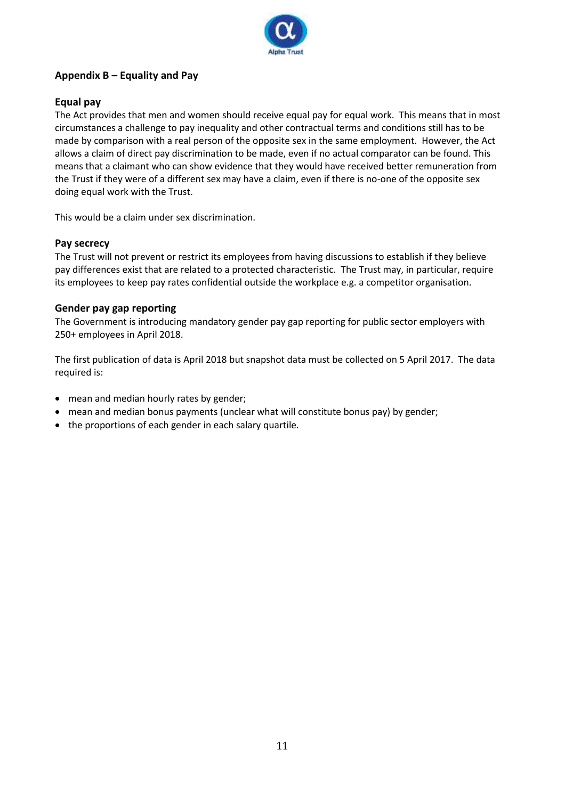

## **Appendix B – Equality and Pay**

#### **Equal pay**

The Act provides that men and women should receive equal pay for equal work. This means that in most circumstances a challenge to pay inequality and other contractual terms and conditions still has to be made by comparison with a real person of the opposite sex in the same employment. However, the Act allows a claim of direct pay discrimination to be made, even if no actual comparator can be found. This means that a claimant who can show evidence that they would have received better remuneration from the Trust if they were of a different sex may have a claim, even if there is no-one of the opposite sex doing equal work with the Trust.

This would be a claim under sex discrimination.

#### **Pay secrecy**

The Trust will not prevent or restrict its employees from having discussions to establish if they believe pay differences exist that are related to a protected characteristic. The Trust may, in particular, require its employees to keep pay rates confidential outside the workplace e.g. a competitor organisation.

#### **Gender pay gap reporting**

The Government is introducing mandatory gender pay gap reporting for public sector employers with 250+ employees in April 2018.

The first publication of data is April 2018 but snapshot data must be collected on 5 April 2017. The data required is:

- mean and median hourly rates by gender;
- mean and median bonus payments (unclear what will constitute bonus pay) by gender;
- the proportions of each gender in each salary quartile.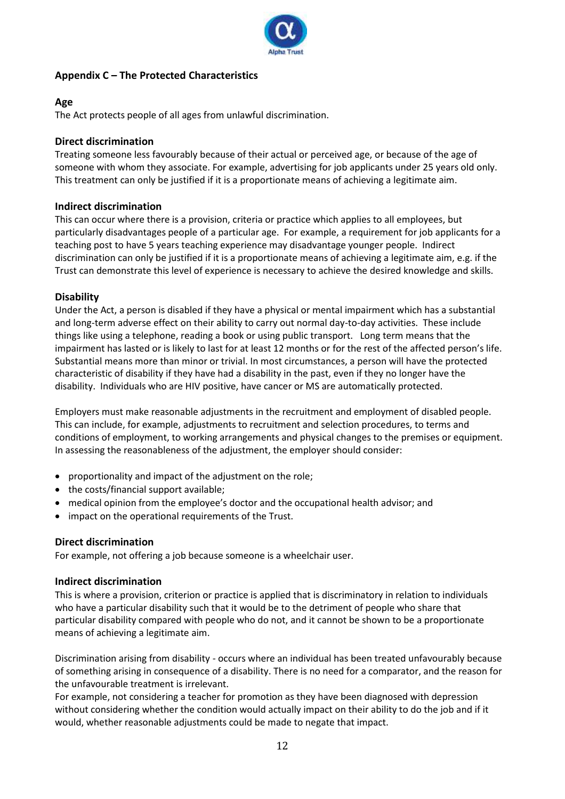

## **Appendix C – The Protected Characteristics**

#### **Age**

The Act protects people of all ages from unlawful discrimination.

#### **Direct discrimination**

Treating someone less favourably because of their actual or perceived age, or because of the age of someone with whom they associate. For example, advertising for job applicants under 25 years old only. This treatment can only be justified if it is a proportionate means of achieving a legitimate aim.

#### **Indirect discrimination**

This can occur where there is a provision, criteria or practice which applies to all employees, but particularly disadvantages people of a particular age. For example, a requirement for job applicants for a teaching post to have 5 years teaching experience may disadvantage younger people. Indirect discrimination can only be justified if it is a proportionate means of achieving a legitimate aim, e.g. if the Trust can demonstrate this level of experience is necessary to achieve the desired knowledge and skills.

#### **Disability**

Under the Act, a person is disabled if they have a physical or mental impairment which has a substantial and long-term adverse effect on their ability to carry out normal day-to-day activities. These include things like using a telephone, reading a book or using public transport. Long term means that the impairment has lasted or is likely to last for at least 12 months or for the rest of the affected person's life. Substantial means more than minor or trivial. In most circumstances, a person will have the protected characteristic of disability if they have had a disability in the past, even if they no longer have the disability. Individuals who are HIV positive, have cancer or MS are automatically protected.

Employers must make reasonable adjustments in the recruitment and employment of disabled people. This can include, for example, adjustments to recruitment and selection procedures, to terms and conditions of employment, to working arrangements and physical changes to the premises or equipment. In assessing the reasonableness of the adjustment, the employer should consider:

- proportionality and impact of the adjustment on the role;
- the costs/financial support available;
- medical opinion from the employee's doctor and the occupational health advisor; and
- impact on the operational requirements of the Trust.

## **Direct discrimination**

For example, not offering a job because someone is a wheelchair user.

## **Indirect discrimination**

This is where a provision, criterion or practice is applied that is discriminatory in relation to individuals who have a particular disability such that it would be to the detriment of people who share that particular disability compared with people who do not, and it cannot be shown to be a proportionate means of achieving a legitimate aim.

Discrimination arising from disability - occurs where an individual has been treated unfavourably because of something arising in consequence of a disability. There is no need for a comparator, and the reason for the unfavourable treatment is irrelevant.

For example, not considering a teacher for promotion as they have been diagnosed with depression without considering whether the condition would actually impact on their ability to do the job and if it would, whether reasonable adjustments could be made to negate that impact.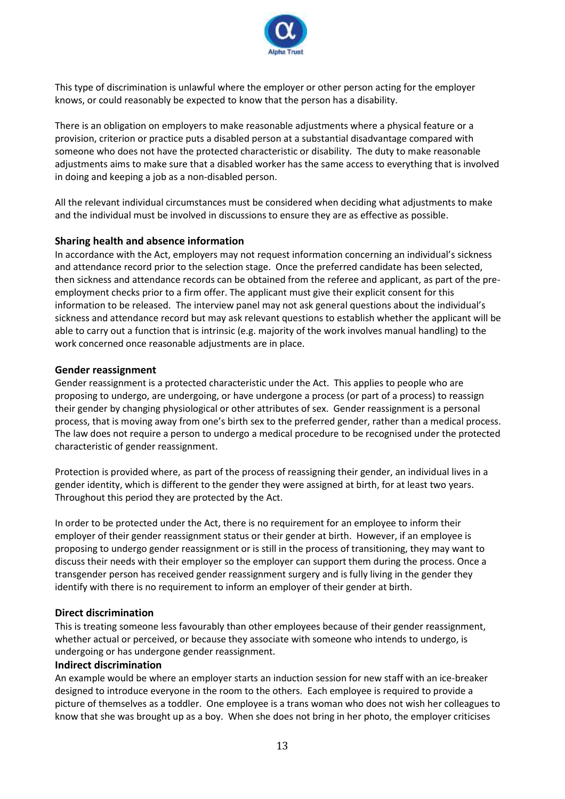

This type of discrimination is unlawful where the employer or other person acting for the employer knows, or could reasonably be expected to know that the person has a disability.

There is an obligation on employers to make reasonable adjustments where a physical feature or a provision, criterion or practice puts a disabled person at a substantial disadvantage compared with someone who does not have the protected characteristic or disability. The duty to make reasonable adjustments aims to make sure that a disabled worker has the same access to everything that is involved in doing and keeping a job as a non-disabled person.

All the relevant individual circumstances must be considered when deciding what adjustments to make and the individual must be involved in discussions to ensure they are as effective as possible.

#### **Sharing health and absence information**

In accordance with the Act, employers may not request information concerning an individual's sickness and attendance record prior to the selection stage. Once the preferred candidate has been selected, then sickness and attendance records can be obtained from the referee and applicant, as part of the preemployment checks prior to a firm offer. The applicant must give their explicit consent for this information to be released. The interview panel may not ask general questions about the individual's sickness and attendance record but may ask relevant questions to establish whether the applicant will be able to carry out a function that is intrinsic (e.g. majority of the work involves manual handling) to the work concerned once reasonable adjustments are in place.

#### **Gender reassignment**

Gender reassignment is a protected characteristic under the Act. This applies to people who are proposing to undergo, are undergoing, or have undergone a process (or part of a process) to reassign their gender by changing physiological or other attributes of sex. Gender reassignment is a personal process, that is moving away from one's birth sex to the preferred gender, rather than a medical process. The law does not require a person to undergo a medical procedure to be recognised under the protected characteristic of gender reassignment.

Protection is provided where, as part of the process of reassigning their gender, an individual lives in a gender identity, which is different to the gender they were assigned at birth, for at least two years. Throughout this period they are protected by the Act.

In order to be protected under the Act, there is no requirement for an employee to inform their employer of their gender reassignment status or their gender at birth. However, if an employee is proposing to undergo gender reassignment or is still in the process of transitioning, they may want to discuss their needs with their employer so the employer can support them during the process. Once a transgender person has received gender reassignment surgery and is fully living in the gender they identify with there is no requirement to inform an employer of their gender at birth.

#### **Direct discrimination**

This is treating someone less favourably than other employees because of their gender reassignment, whether actual or perceived, or because they associate with someone who intends to undergo, is undergoing or has undergone gender reassignment.

#### **Indirect discrimination**

An example would be where an employer starts an induction session for new staff with an ice-breaker designed to introduce everyone in the room to the others. Each employee is required to provide a picture of themselves as a toddler. One employee is a trans woman who does not wish her colleagues to know that she was brought up as a boy. When she does not bring in her photo, the employer criticises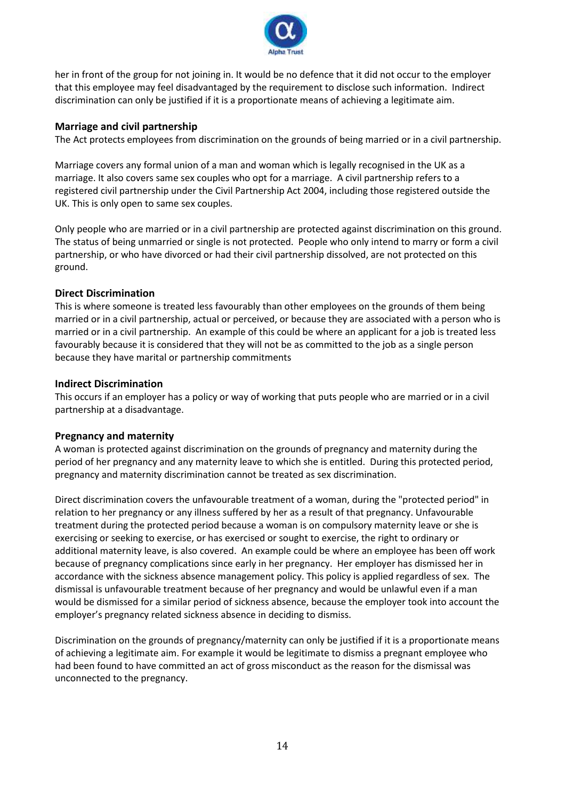

her in front of the group for not joining in. It would be no defence that it did not occur to the employer that this employee may feel disadvantaged by the requirement to disclose such information. Indirect discrimination can only be justified if it is a proportionate means of achieving a legitimate aim.

#### **Marriage and civil partnership**

The Act protects employees from discrimination on the grounds of being married or in a civil partnership.

Marriage covers any formal union of a man and woman which is legally recognised in the UK as a marriage. It also covers same sex couples who opt for a marriage. A civil partnership refers to a registered civil partnership under the Civil Partnership Act 2004, including those registered outside the UK. This is only open to same sex couples.

Only people who are married or in a civil partnership are protected against discrimination on this ground. The status of being unmarried or single is not protected. People who only intend to marry or form a civil partnership, or who have divorced or had their civil partnership dissolved, are not protected on this ground.

#### **Direct Discrimination**

This is where someone is treated less favourably than other employees on the grounds of them being married or in a civil partnership, actual or perceived, or because they are associated with a person who is married or in a civil partnership. An example of this could be where an applicant for a job is treated less favourably because it is considered that they will not be as committed to the job as a single person because they have marital or partnership commitments

#### **Indirect Discrimination**

This occurs if an employer has a policy or way of working that puts people who are married or in a civil partnership at a disadvantage.

#### **Pregnancy and maternity**

A woman is protected against discrimination on the grounds of pregnancy and maternity during the period of her pregnancy and any maternity leave to which she is entitled. During this protected period, pregnancy and maternity discrimination cannot be treated as sex discrimination.

Direct discrimination covers the unfavourable treatment of a woman, during the "protected period" in relation to her pregnancy or any illness suffered by her as a result of that pregnancy. Unfavourable treatment during the protected period because a woman is on compulsory maternity leave or she is exercising or seeking to exercise, or has exercised or sought to exercise, the right to ordinary or additional maternity leave, is also covered. An example could be where an employee has been off work because of pregnancy complications since early in her pregnancy. Her employer has dismissed her in accordance with the sickness absence management policy. This policy is applied regardless of sex. The dismissal is unfavourable treatment because of her pregnancy and would be unlawful even if a man would be dismissed for a similar period of sickness absence, because the employer took into account the employer's pregnancy related sickness absence in deciding to dismiss.

Discrimination on the grounds of pregnancy/maternity can only be justified if it is a proportionate means of achieving a legitimate aim. For example it would be legitimate to dismiss a pregnant employee who had been found to have committed an act of gross misconduct as the reason for the dismissal was unconnected to the pregnancy.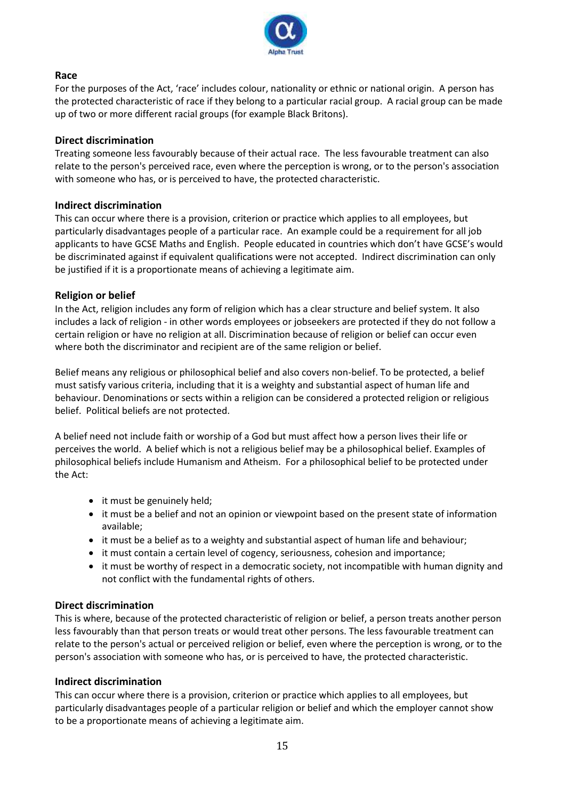

#### **Race**

For the purposes of the Act, 'race' includes colour, nationality or ethnic or national origin. A person has the protected characteristic of race if they belong to a particular racial group. A racial group can be made up of two or more different racial groups (for example Black Britons).

#### **Direct discrimination**

Treating someone less favourably because of their actual race. The less favourable treatment can also relate to the person's perceived race, even where the perception is wrong, or to the person's association with someone who has, or is perceived to have, the protected characteristic.

#### **Indirect discrimination**

This can occur where there is a provision, criterion or practice which applies to all employees, but particularly disadvantages people of a particular race. An example could be a requirement for all job applicants to have GCSE Maths and English. People educated in countries which don't have GCSE's would be discriminated against if equivalent qualifications were not accepted. Indirect discrimination can only be justified if it is a proportionate means of achieving a legitimate aim.

#### **Religion or belief**

In the Act, religion includes any form of religion which has a clear structure and belief system. It also includes a lack of religion - in other words employees or jobseekers are protected if they do not follow a certain religion or have no religion at all. Discrimination because of religion or belief can occur even where both the discriminator and recipient are of the same religion or belief.

Belief means any religious or philosophical belief and also covers non-belief. To be protected, a belief must satisfy various criteria, including that it is a weighty and substantial aspect of human life and behaviour. Denominations or sects within a religion can be considered a protected religion or religious belief. Political beliefs are not protected.

A belief need not include faith or worship of a God but must affect how a person lives their life or perceives the world. A belief which is not a religious belief may be a philosophical belief. Examples of philosophical beliefs include Humanism and Atheism. For a philosophical belief to be protected under the Act:

- it must be genuinely held;
- it must be a belief and not an opinion or viewpoint based on the present state of information available;
- it must be a belief as to a weighty and substantial aspect of human life and behaviour;
- it must contain a certain level of cogency, seriousness, cohesion and importance;
- it must be worthy of respect in a democratic society, not incompatible with human dignity and not conflict with the fundamental rights of others.

#### **Direct discrimination**

This is where, because of the protected characteristic of religion or belief, a person treats another person less favourably than that person treats or would treat other persons. The less favourable treatment can relate to the person's actual or perceived religion or belief, even where the perception is wrong, or to the person's association with someone who has, or is perceived to have, the protected characteristic.

#### **Indirect discrimination**

This can occur where there is a provision, criterion or practice which applies to all employees, but particularly disadvantages people of a particular religion or belief and which the employer cannot show to be a proportionate means of achieving a legitimate aim.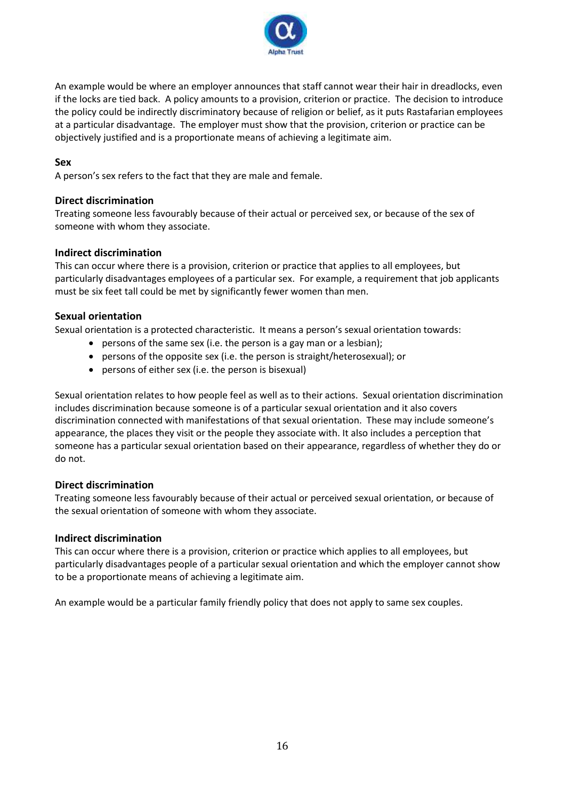

An example would be where an employer announces that staff cannot wear their hair in dreadlocks, even if the locks are tied back. A policy amounts to a provision, criterion or practice. The decision to introduce the policy could be indirectly discriminatory because of religion or belief, as it puts Rastafarian employees at a particular disadvantage. The employer must show that the provision, criterion or practice can be objectively justified and is a proportionate means of achieving a legitimate aim.

#### **Sex**

A person's sex refers to the fact that they are male and female.

#### **Direct discrimination**

Treating someone less favourably because of their actual or perceived sex, or because of the sex of someone with whom they associate.

#### **Indirect discrimination**

This can occur where there is a provision, criterion or practice that applies to all employees, but particularly disadvantages employees of a particular sex. For example, a requirement that job applicants must be six feet tall could be met by significantly fewer women than men.

#### **Sexual orientation**

Sexual orientation is a protected characteristic. It means a person's sexual orientation towards:

- persons of the same sex (i.e. the person is a gay man or a lesbian);
- persons of the opposite sex (i.e. the person is straight/heterosexual); or
- persons of either sex (i.e. the person is bisexual)

Sexual orientation relates to how people feel as well as to their actions. Sexual orientation discrimination includes discrimination because someone is of a particular sexual orientation and it also covers discrimination connected with manifestations of that sexual orientation. These may include someone's appearance, the places they visit or the people they associate with. It also includes a perception that someone has a particular sexual orientation based on their appearance, regardless of whether they do or do not.

#### **Direct discrimination**

Treating someone less favourably because of their actual or perceived sexual orientation, or because of the sexual orientation of someone with whom they associate.

#### **Indirect discrimination**

This can occur where there is a provision, criterion or practice which applies to all employees, but particularly disadvantages people of a particular sexual orientation and which the employer cannot show to be a proportionate means of achieving a legitimate aim.

An example would be a particular family friendly policy that does not apply to same sex couples.